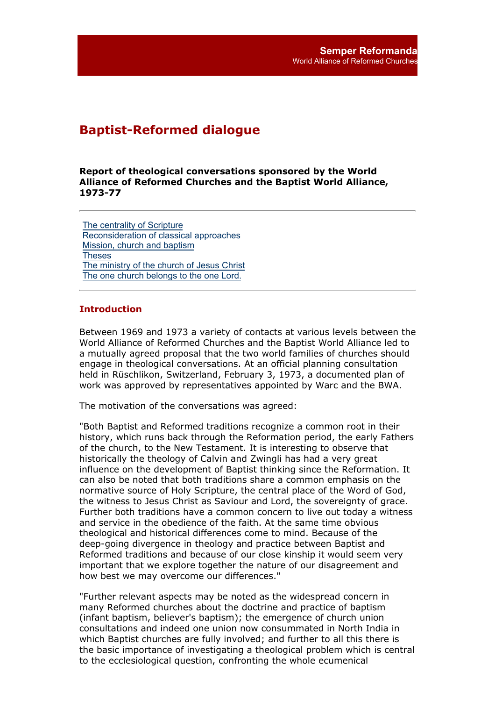# **Baptist-Reformed dialogue**

**Report of theological conversations sponsored by the World Alliance of Reformed Churches and the Baptist World Alliance, 1973-77**

The centrality of Scripture Reconsideration of classical approaches Mission, church and baptism **Theses** The ministry of the church of Jesus Christ The one church belongs to the one Lord.

#### **Introduction**

Between 1969 and 1973 a variety of contacts at various levels between the World Alliance of Reformed Churches and the Baptist World Alliance led to a mutually agreed proposal that the two world families of churches should engage in theological conversations. At an official planning consultation held in Rüschlikon, Switzerland, February 3, 1973, a documented plan of work was approved by representatives appointed by Warc and the BWA.

The motivation of the conversations was agreed:

"Both Baptist and Reformed traditions recognize a common root in their history, which runs back through the Reformation period, the early Fathers of the church, to the New Testament. It is interesting to observe that historically the theology of Calvin and Zwingli has had a very great influence on the development of Baptist thinking since the Reformation. It can also be noted that both traditions share a common emphasis on the normative source of Holy Scripture, the central place of the Word of God, the witness to Jesus Christ as Saviour and Lord, the sovereignty of grace. Further both traditions have a common concern to live out today a witness and service in the obedience of the faith. At the same time obvious theological and historical differences come to mind. Because of the deep-going divergence in theology and practice between Baptist and Reformed traditions and because of our close kinship it would seem very important that we explore together the nature of our disagreement and how best we may overcome our differences."

"Further relevant aspects may be noted as the widespread concern in many Reformed churches about the doctrine and practice of baptism (infant baptism, believer's baptism); the emergence of church union consultations and indeed one union now consummated in North India in which Baptist churches are fully involved; and further to all this there is the basic importance of investigating a theological problem which is central to the ecclesiological question, confronting the whole ecumenical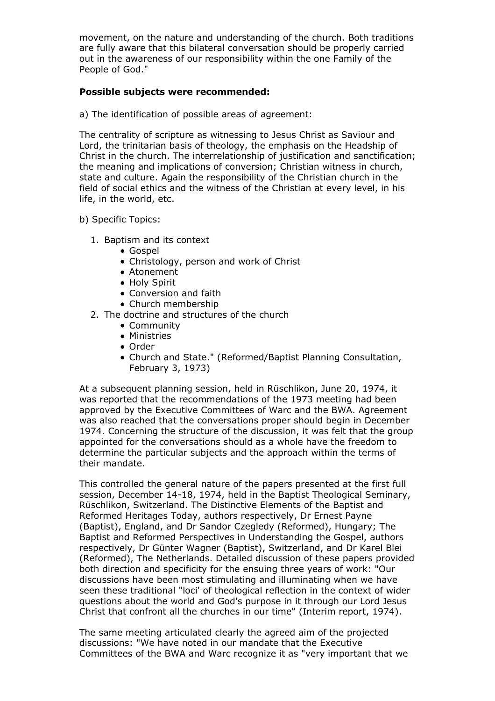movement, on the nature and understanding of the church. Both traditions are fully aware that this bilateral conversation should be properly carried out in the awareness of our responsibility within the one Family of the People of God."

## **Possible subjects were recommended:**

a) The identification of possible areas of agreement:

The centrality of scripture as witnessing to Jesus Christ as Saviour and Lord, the trinitarian basis of theology, the emphasis on the Headship of Christ in the church. The interrelationship of justification and sanctification; the meaning and implications of conversion; Christian witness in church, state and culture. Again the responsibility of the Christian church in the field of social ethics and the witness of the Christian at every level, in his life, in the world, etc.

- b) Specific Topics:
	- 1. Baptism and its context
		- Gospel
		- Christology, person and work of Christ
		- Atonement
		- Holy Spirit
		- Conversion and faith
		- Church membership
	- 2. The doctrine and structures of the church
		- Community
		- Ministries
		- Order
		- Church and State." (Reformed/Baptist Planning Consultation, February 3, 1973)

At a subsequent planning session, held in Rüschlikon, June 20, 1974, it was reported that the recommendations of the 1973 meeting had been approved by the Executive Committees of Warc and the BWA. Agreement was also reached that the conversations proper should begin in December 1974. Concerning the structure of the discussion, it was felt that the group appointed for the conversations should as a whole have the freedom to determine the particular subjects and the approach within the terms of their mandate.

This controlled the general nature of the papers presented at the first full session, December 14-18, 1974, held in the Baptist Theological Seminary, Rüschlikon, Switzerland. The Distinctive Elements of the Baptist and Reformed Heritages Today, authors respectively, Dr Ernest Payne (Baptist), England, and Dr Sandor Czegledy (Reformed), Hungary; The Baptist and Reformed Perspectives in Understanding the Gospel, authors respectively, Dr Günter Wagner (Baptist), Switzerland, and Dr Karel Blei (Reformed), The Netherlands. Detailed discussion of these papers provided both direction and specificity for the ensuing three years of work: "Our discussions have been most stimulating and illuminating when we have seen these traditional "loci' of theological reflection in the context of wider questions about the world and God's purpose in it through our Lord Jesus Christ that confront all the churches in our time" (Interim report, 1974).

The same meeting articulated clearly the agreed aim of the projected discussions: "We have noted in our mandate that the Executive Committees of the BWA and Warc recognize it as "very important that we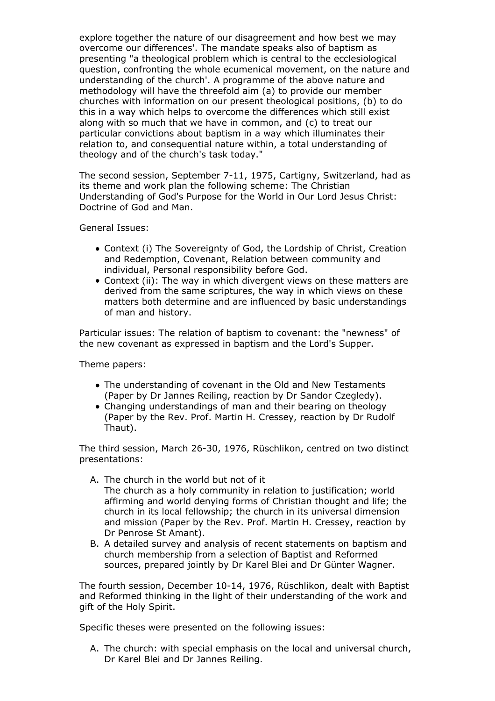explore together the nature of our disagreement and how best we may overcome our differences'. The mandate speaks also of baptism as presenting "a theological problem which is central to the ecclesiological question, confronting the whole ecumenical movement, on the nature and understanding of the church'. A programme of the above nature and methodology will have the threefold aim (a) to provide our member churches with information on our present theological positions, (b) to do this in a way which helps to overcome the differences which still exist along with so much that we have in common, and (c) to treat our particular convictions about baptism in a way which illuminates their relation to, and consequential nature within, a total understanding of theology and of the church's task today."

The second session, September 7-11, 1975, Cartigny, Switzerland, had as its theme and work plan the following scheme: The Christian Understanding of God's Purpose for the World in Our Lord Jesus Christ: Doctrine of God and Man.

General Issues:

- Context (i) The Sovereignty of God, the Lordship of Christ, Creation and Redemption, Covenant, Relation between community and individual, Personal responsibility before God.
- Context (ii): The way in which divergent views on these matters are derived from the same scriptures, the way in which views on these matters both determine and are influenced by basic understandings of man and history.

Particular issues: The relation of baptism to covenant: the "newness" of the new covenant as expressed in baptism and the Lord's Supper.

Theme papers:

- The understanding of covenant in the Old and New Testaments (Paper by Dr Jannes Reiling, reaction by Dr Sandor Czegledy).
- Changing understandings of man and their bearing on theology (Paper by the Rev. Prof. Martin H. Cressey, reaction by Dr Rudolf Thaut).

The third session, March 26-30, 1976, Rüschlikon, centred on two distinct presentations:

- A. The church in the world but not of it The church as a holy community in relation to justification; world affirming and world denying forms of Christian thought and life; the church in its local fellowship; the church in its universal dimension and mission (Paper by the Rev. Prof. Martin H. Cressey, reaction by Dr Penrose St Amant).
- B. A detailed survey and analysis of recent statements on baptism and church membership from a selection of Baptist and Reformed sources, prepared jointly by Dr Karel Blei and Dr Günter Wagner.

The fourth session, December 10-14, 1976, Rüschlikon, dealt with Baptist and Reformed thinking in the light of their understanding of the work and gift of the Holy Spirit.

Specific theses were presented on the following issues:

The church: with special emphasis on the local and universal church, A.Dr Karel Blei and Dr Jannes Reiling.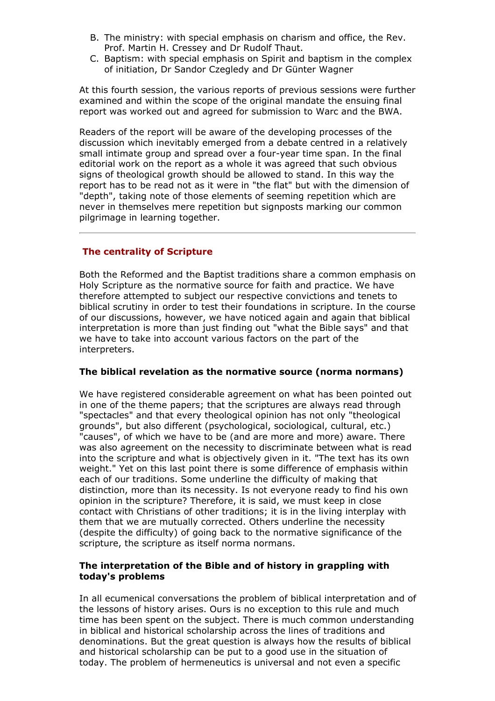- B. The ministry: with special emphasis on charism and office, the Rev. Prof. Martin H. Cressey and Dr Rudolf Thaut.
- C. Baptism: with special emphasis on Spirit and baptism in the complex of initiation, Dr Sandor Czegledy and Dr Günter Wagner

At this fourth session, the various reports of previous sessions were further examined and within the scope of the original mandate the ensuing final report was worked out and agreed for submission to Warc and the BWA.

Readers of the report will be aware of the developing processes of the discussion which inevitably emerged from a debate centred in a relatively small intimate group and spread over a four-year time span. In the final editorial work on the report as a whole it was agreed that such obvious signs of theological growth should be allowed to stand. In this way the report has to be read not as it were in "the flat" but with the dimension of "depth", taking note of those elements of seeming repetition which are never in themselves mere repetition but signposts marking our common pilgrimage in learning together.

### **The centrality of Scripture**

Both the Reformed and the Baptist traditions share a common emphasis on Holy Scripture as the normative source for faith and practice. We have therefore attempted to subject our respective convictions and tenets to biblical scrutiny in order to test their foundations in scripture. In the course of our discussions, however, we have noticed again and again that biblical interpretation is more than just finding out "what the Bible says" and that we have to take into account various factors on the part of the interpreters.

#### **The biblical revelation as the normative source (norma normans)**

We have registered considerable agreement on what has been pointed out in one of the theme papers; that the scriptures are always read through "spectacles" and that every theological opinion has not only "theological grounds", but also different (psychological, sociological, cultural, etc.) "causes", of which we have to be (and are more and more) aware. There was also agreement on the necessity to discriminate between what is read into the scripture and what is objectively given in it. "The text has its own weight." Yet on this last point there is some difference of emphasis within each of our traditions. Some underline the difficulty of making that distinction, more than its necessity. Is not everyone ready to find his own opinion in the scripture? Therefore, it is said, we must keep in close contact with Christians of other traditions; it is in the living interplay with them that we are mutually corrected. Others underline the necessity (despite the difficulty) of going back to the normative significance of the scripture, the scripture as itself norma normans.

#### **The interpretation of the Bible and of history in grappling with today's problems**

In all ecumenical conversations the problem of biblical interpretation and of the lessons of history arises. Ours is no exception to this rule and much time has been spent on the subject. There is much common understanding in biblical and historical scholarship across the lines of traditions and denominations. But the great question is always how the results of biblical and historical scholarship can be put to a good use in the situation of today. The problem of hermeneutics is universal and not even a specific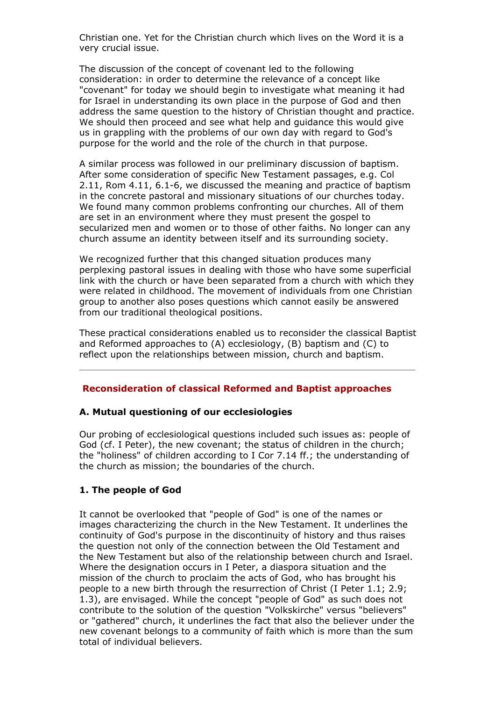Christian one. Yet for the Christian church which lives on the Word it is a very crucial issue.

The discussion of the concept of covenant led to the following consideration: in order to determine the relevance of a concept like "covenant" for today we should begin to investigate what meaning it had for Israel in understanding its own place in the purpose of God and then address the same question to the history of Christian thought and practice. We should then proceed and see what help and guidance this would give us in grappling with the problems of our own day with regard to God's purpose for the world and the role of the church in that purpose.

A similar process was followed in our preliminary discussion of baptism. After some consideration of specific New Testament passages, e.g. Col 2.11, Rom 4.11, 6.1-6, we discussed the meaning and practice of baptism in the concrete pastoral and missionary situations of our churches today. We found many common problems confronting our churches. All of them are set in an environment where they must present the gospel to secularized men and women or to those of other faiths. No longer can any church assume an identity between itself and its surrounding society.

We recognized further that this changed situation produces many perplexing pastoral issues in dealing with those who have some superficial link with the church or have been separated from a church with which they were related in childhood. The movement of individuals from one Christian group to another also poses questions which cannot easily be answered from our traditional theological positions.

These practical considerations enabled us to reconsider the classical Baptist and Reformed approaches to (A) ecclesiology, (B) baptism and (C) to reflect upon the relationships between mission, church and baptism.

# **Reconsideration of classical Reformed and Baptist approaches**

#### **A. Mutual questioning of our ecclesiologies**

Our probing of ecclesiological questions included such issues as: people of God (cf. I Peter), the new covenant; the status of children in the church; the "holiness" of children according to I Cor 7.14 ff.; the understanding of the church as mission; the boundaries of the church.

# **1. The people of God**

It cannot be overlooked that "people of God" is one of the names or images characterizing the church in the New Testament. It underlines the continuity of God's purpose in the discontinuity of history and thus raises the question not only of the connection between the Old Testament and the New Testament but also of the relationship between church and Israel. Where the designation occurs in I Peter, a diaspora situation and the mission of the church to proclaim the acts of God, who has brought his people to a new birth through the resurrection of Christ (I Peter 1.1; 2.9; 1.3), are envisaged. While the concept "people of God" as such does not contribute to the solution of the question "Volkskirche" versus "believers" or "gathered" church, it underlines the fact that also the believer under the new covenant belongs to a community of faith which is more than the sum total of individual believers.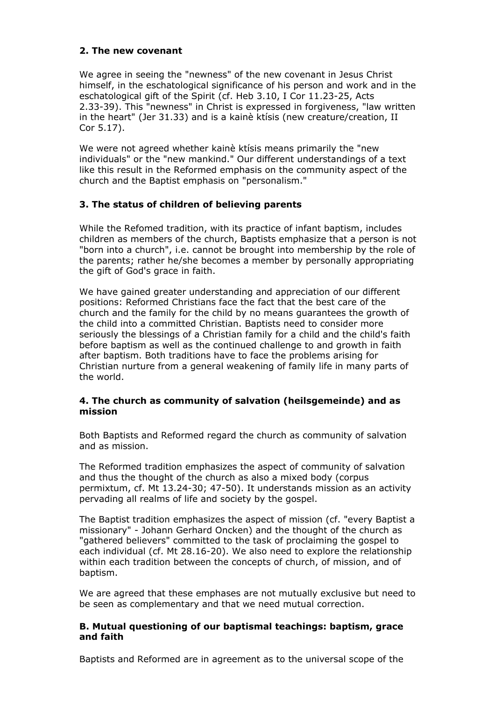# **2. The new covenant**

We agree in seeing the "newness" of the new covenant in Jesus Christ himself, in the eschatological significance of his person and work and in the eschatological gift of the Spirit (cf. Heb 3.10, I Cor 11.23-25, Acts 2.33-39). This "newness" in Christ is expressed in forgiveness, "law written in the heart" (Jer 31.33) and is a kainè ktísis (new creature/creation, II Cor 5.17).

We were not agreed whether kainè ktísis means primarily the "new individuals" or the "new mankind." Our different understandings of a text like this result in the Reformed emphasis on the community aspect of the church and the Baptist emphasis on "personalism."

### **3. The status of children of believing parents**

While the Refomed tradition, with its practice of infant baptism, includes children as members of the church, Baptists emphasize that a person is not "born into a church", i.e. cannot be brought into membership by the role of the parents; rather he/she becomes a member by personally appropriating the gift of God's grace in faith.

We have gained greater understanding and appreciation of our different positions: Reformed Christians face the fact that the best care of the church and the family for the child by no means guarantees the growth of the child into a committed Christian. Baptists need to consider more seriously the blessings of a Christian family for a child and the child's faith before baptism as well as the continued challenge to and growth in faith after baptism. Both traditions have to face the problems arising for Christian nurture from a general weakening of family life in many parts of the world.

#### **4. The church as community of salvation (heilsgemeinde) and as mission**

Both Baptists and Reformed regard the church as community of salvation and as mission.

The Reformed tradition emphasizes the aspect of community of salvation and thus the thought of the church as also a mixed body (corpus permixtum, cf. Mt 13.24-30; 47-50). It understands mission as an activity pervading all realms of life and society by the gospel.

The Baptist tradition emphasizes the aspect of mission (cf. "every Baptist a missionary" - Johann Gerhard Oncken) and the thought of the church as "gathered believers" committed to the task of proclaiming the gospel to each individual (cf. Mt 28.16-20). We also need to explore the relationship within each tradition between the concepts of church, of mission, and of baptism.

We are agreed that these emphases are not mutually exclusive but need to be seen as complementary and that we need mutual correction.

#### **B. Mutual questioning of our baptismal teachings: baptism, grace and faith**

Baptists and Reformed are in agreement as to the universal scope of the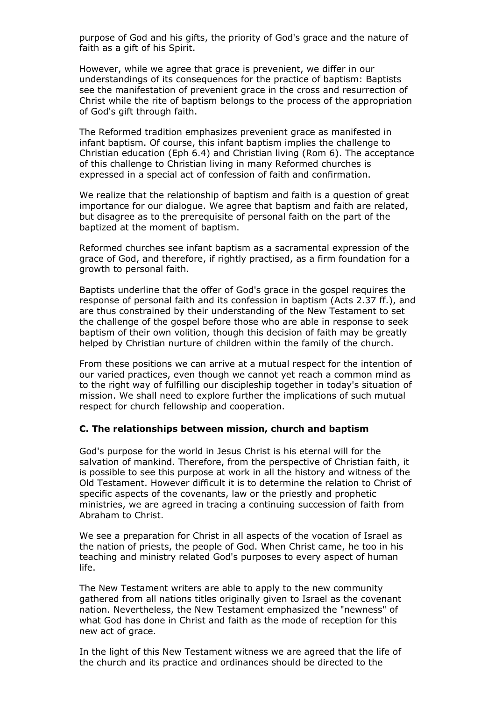purpose of God and his gifts, the priority of God's grace and the nature of faith as a gift of his Spirit.

However, while we agree that grace is prevenient, we differ in our understandings of its consequences for the practice of baptism: Baptists see the manifestation of prevenient grace in the cross and resurrection of Christ while the rite of baptism belongs to the process of the appropriation of God's gift through faith.

The Reformed tradition emphasizes prevenient grace as manifested in infant baptism. Of course, this infant baptism implies the challenge to Christian education (Eph 6.4) and Christian living (Rom 6). The acceptance of this challenge to Christian living in many Reformed churches is expressed in a special act of confession of faith and confirmation.

We realize that the relationship of baptism and faith is a question of great importance for our dialogue. We agree that baptism and faith are related, but disagree as to the prerequisite of personal faith on the part of the baptized at the moment of baptism.

Reformed churches see infant baptism as a sacramental expression of the grace of God, and therefore, if rightly practised, as a firm foundation for a growth to personal faith.

Baptists underline that the offer of God's grace in the gospel requires the response of personal faith and its confession in baptism (Acts 2.37 ff.), and are thus constrained by their understanding of the New Testament to set the challenge of the gospel before those who are able in response to seek baptism of their own volition, though this decision of faith may be greatly helped by Christian nurture of children within the family of the church.

From these positions we can arrive at a mutual respect for the intention of our varied practices, even though we cannot yet reach a common mind as to the right way of fulfilling our discipleship together in today's situation of mission. We shall need to explore further the implications of such mutual respect for church fellowship and cooperation.

#### **C. The relationships between mission, church and baptism**

God's purpose for the world in Jesus Christ is his eternal will for the salvation of mankind. Therefore, from the perspective of Christian faith, it is possible to see this purpose at work in all the history and witness of the Old Testament. However difficult it is to determine the relation to Christ of specific aspects of the covenants, law or the priestly and prophetic ministries, we are agreed in tracing a continuing succession of faith from Abraham to Christ.

We see a preparation for Christ in all aspects of the vocation of Israel as the nation of priests, the people of God. When Christ came, he too in his teaching and ministry related God's purposes to every aspect of human life.

The New Testament writers are able to apply to the new community gathered from all nations titles originally given to Israel as the covenant nation. Nevertheless, the New Testament emphasized the "newness" of what God has done in Christ and faith as the mode of reception for this new act of grace.

In the light of this New Testament witness we are agreed that the life of the church and its practice and ordinances should be directed to the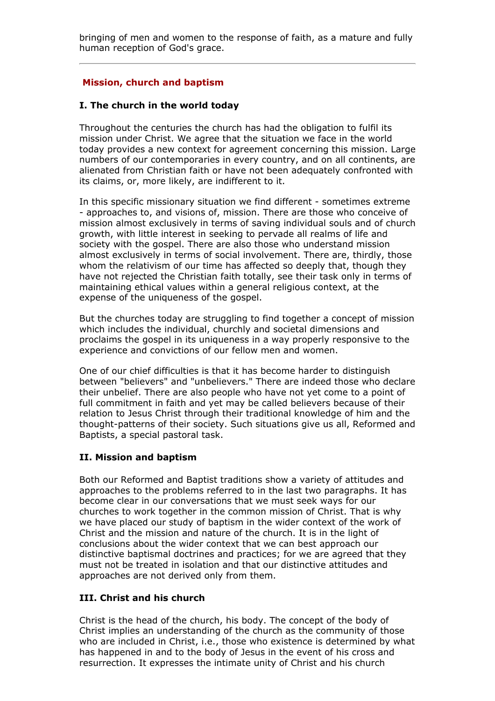bringing of men and women to the response of faith, as a mature and fully human reception of God's grace.

# **Mission, church and baptism**

# **I. The church in the world today**

Throughout the centuries the church has had the obligation to fulfil its mission under Christ. We agree that the situation we face in the world today provides a new context for agreement concerning this mission. Large numbers of our contemporaries in every country, and on all continents, are alienated from Christian faith or have not been adequately confronted with its claims, or, more likely, are indifferent to it.

In this specific missionary situation we find different - sometimes extreme - approaches to, and visions of, mission. There are those who conceive of mission almost exclusively in terms of saving individual souls and of church growth, with little interest in seeking to pervade all realms of life and society with the gospel. There are also those who understand mission almost exclusively in terms of social involvement. There are, thirdly, those whom the relativism of our time has affected so deeply that, though they have not rejected the Christian faith totally, see their task only in terms of maintaining ethical values within a general religious context, at the expense of the uniqueness of the gospel.

But the churches today are struggling to find together a concept of mission which includes the individual, churchly and societal dimensions and proclaims the gospel in its uniqueness in a way properly responsive to the experience and convictions of our fellow men and women.

One of our chief difficulties is that it has become harder to distinguish between "believers" and "unbelievers." There are indeed those who declare their unbelief. There are also people who have not yet come to a point of full commitment in faith and yet may be called believers because of their relation to Jesus Christ through their traditional knowledge of him and the thought-patterns of their society. Such situations give us all, Reformed and Baptists, a special pastoral task.

# **II. Mission and baptism**

Both our Reformed and Baptist traditions show a variety of attitudes and approaches to the problems referred to in the last two paragraphs. It has become clear in our conversations that we must seek ways for our churches to work together in the common mission of Christ. That is why we have placed our study of baptism in the wider context of the work of Christ and the mission and nature of the church. It is in the light of conclusions about the wider context that we can best approach our distinctive baptismal doctrines and practices; for we are agreed that they must not be treated in isolation and that our distinctive attitudes and approaches are not derived only from them.

# **III. Christ and his church**

Christ is the head of the church, his body. The concept of the body of Christ implies an understanding of the church as the community of those who are included in Christ, i.e., those who existence is determined by what has happened in and to the body of Jesus in the event of his cross and resurrection. It expresses the intimate unity of Christ and his church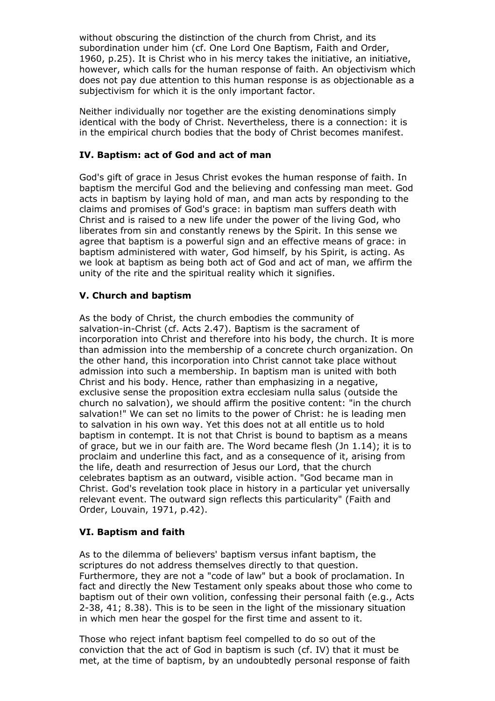without obscuring the distinction of the church from Christ, and its subordination under him (cf. One Lord One Baptism, Faith and Order, 1960, p.25). It is Christ who in his mercy takes the initiative, an initiative, however, which calls for the human response of faith. An objectivism which does not pay due attention to this human response is as objectionable as a subjectivism for which it is the only important factor.

Neither individually nor together are the existing denominations simply identical with the body of Christ. Nevertheless, there is a connection: it is in the empirical church bodies that the body of Christ becomes manifest.

# **IV. Baptism: act of God and act of man**

God's gift of grace in Jesus Christ evokes the human response of faith. In baptism the merciful God and the believing and confessing man meet. God acts in baptism by laying hold of man, and man acts by responding to the claims and promises of God's grace: in baptism man suffers death with Christ and is raised to a new life under the power of the living God, who liberates from sin and constantly renews by the Spirit. In this sense we agree that baptism is a powerful sign and an effective means of grace: in baptism administered with water, God himself, by his Spirit, is acting. As we look at baptism as being both act of God and act of man, we affirm the unity of the rite and the spiritual reality which it signifies.

# **V. Church and baptism**

As the body of Christ, the church embodies the community of salvation-in-Christ (cf. Acts 2.47). Baptism is the sacrament of incorporation into Christ and therefore into his body, the church. It is more than admission into the membership of a concrete church organization. On the other hand, this incorporation into Christ cannot take place without admission into such a membership. In baptism man is united with both Christ and his body. Hence, rather than emphasizing in a negative, exclusive sense the proposition extra ecclesiam nulla salus (outside the church no salvation), we should affirm the positive content: "in the church salvation!" We can set no limits to the power of Christ: he is leading men to salvation in his own way. Yet this does not at all entitle us to hold baptism in contempt. It is not that Christ is bound to baptism as a means of grace, but we in our faith are. The Word became flesh (Jn 1.14); it is to proclaim and underline this fact, and as a consequence of it, arising from the life, death and resurrection of Jesus our Lord, that the church celebrates baptism as an outward, visible action. "God became man in Christ. God's revelation took place in history in a particular yet universally relevant event. The outward sign reflects this particularity" (Faith and Order, Louvain, 1971, p.42).

# **VI. Baptism and faith**

As to the dilemma of believers' baptism versus infant baptism, the scriptures do not address themselves directly to that question. Furthermore, they are not a "code of law" but a book of proclamation. In fact and directly the New Testament only speaks about those who come to baptism out of their own volition, confessing their personal faith (e.g., Acts 2-38, 41; 8.38). This is to be seen in the light of the missionary situation in which men hear the gospel for the first time and assent to it.

Those who reject infant baptism feel compelled to do so out of the conviction that the act of God in baptism is such (cf. IV) that it must be met, at the time of baptism, by an undoubtedly personal response of faith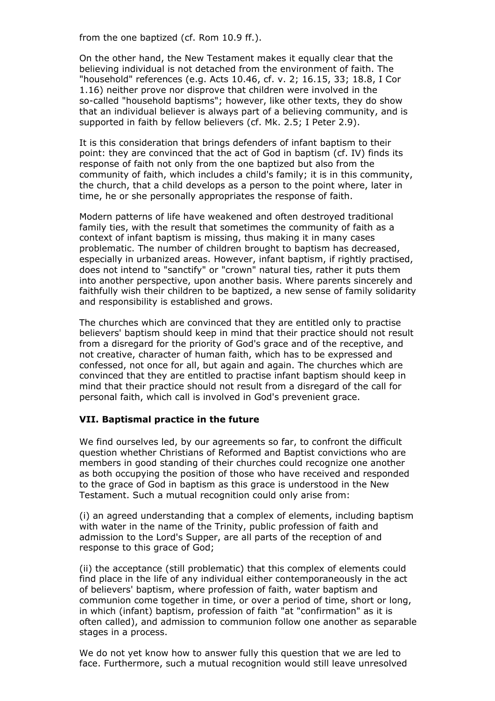from the one baptized (cf. Rom 10.9 ff.).

On the other hand, the New Testament makes it equally clear that the believing individual is not detached from the environment of faith. The "household" references (e.g. Acts 10.46, cf. v. 2; 16.15, 33; 18.8, I Cor 1.16) neither prove nor disprove that children were involved in the so-called "household baptisms"; however, like other texts, they do show that an individual believer is always part of a believing community, and is supported in faith by fellow believers (cf. Mk. 2.5; I Peter 2.9).

It is this consideration that brings defenders of infant baptism to their point: they are convinced that the act of God in baptism (cf. IV) finds its response of faith not only from the one baptized but also from the community of faith, which includes a child's family; it is in this community, the church, that a child develops as a person to the point where, later in time, he or she personally appropriates the response of faith.

Modern patterns of life have weakened and often destroyed traditional family ties, with the result that sometimes the community of faith as a context of infant baptism is missing, thus making it in many cases problematic. The number of children brought to baptism has decreased, especially in urbanized areas. However, infant baptism, if rightly practised, does not intend to "sanctify" or "crown" natural ties, rather it puts them into another perspective, upon another basis. Where parents sincerely and faithfully wish their children to be baptized, a new sense of family solidarity and responsibility is established and grows.

The churches which are convinced that they are entitled only to practise believers' baptism should keep in mind that their practice should not result from a disregard for the priority of God's grace and of the receptive, and not creative, character of human faith, which has to be expressed and confessed, not once for all, but again and again. The churches which are convinced that they are entitled to practise infant baptism should keep in mind that their practice should not result from a disregard of the call for personal faith, which call is involved in God's prevenient grace.

#### **VII. Baptismal practice in the future**

We find ourselves led, by our agreements so far, to confront the difficult question whether Christians of Reformed and Baptist convictions who are members in good standing of their churches could recognize one another as both occupying the position of those who have received and responded to the grace of God in baptism as this grace is understood in the New Testament. Such a mutual recognition could only arise from:

(i) an agreed understanding that a complex of elements, including baptism with water in the name of the Trinity, public profession of faith and admission to the Lord's Supper, are all parts of the reception of and response to this grace of God;

(ii) the acceptance (still problematic) that this complex of elements could find place in the life of any individual either contemporaneously in the act of believers' baptism, where profession of faith, water baptism and communion come together in time, or over a period of time, short or long, in which (infant) baptism, profession of faith "at "confirmation" as it is often called), and admission to communion follow one another as separable stages in a process.

We do not yet know how to answer fully this question that we are led to face. Furthermore, such a mutual recognition would still leave unresolved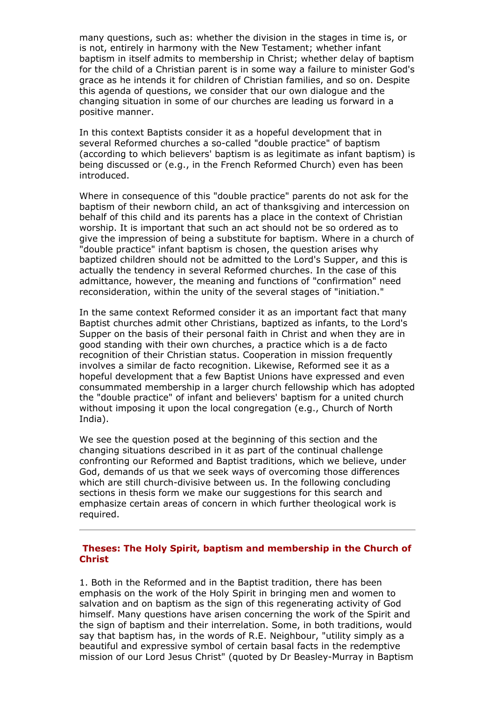many questions, such as: whether the division in the stages in time is, or is not, entirely in harmony with the New Testament; whether infant baptism in itself admits to membership in Christ; whether delay of baptism for the child of a Christian parent is in some way a failure to minister God's grace as he intends it for children of Christian families, and so on. Despite this agenda of questions, we consider that our own dialogue and the changing situation in some of our churches are leading us forward in a positive manner.

In this context Baptists consider it as a hopeful development that in several Reformed churches a so-called "double practice" of baptism (according to which believers' baptism is as legitimate as infant baptism) is being discussed or (e.g., in the French Reformed Church) even has been introduced.

Where in consequence of this "double practice" parents do not ask for the baptism of their newborn child, an act of thanksgiving and intercession on behalf of this child and its parents has a place in the context of Christian worship. It is important that such an act should not be so ordered as to give the impression of being a substitute for baptism. Where in a church of "double practice" infant baptism is chosen, the question arises why baptized children should not be admitted to the Lord's Supper, and this is actually the tendency in several Reformed churches. In the case of this admittance, however, the meaning and functions of "confirmation" need reconsideration, within the unity of the several stages of "initiation."

In the same context Reformed consider it as an important fact that many Baptist churches admit other Christians, baptized as infants, to the Lord's Supper on the basis of their personal faith in Christ and when they are in good standing with their own churches, a practice which is a de facto recognition of their Christian status. Cooperation in mission frequently involves a similar de facto recognition. Likewise, Reformed see it as a hopeful development that a few Baptist Unions have expressed and even consummated membership in a larger church fellowship which has adopted the "double practice" of infant and believers' baptism for a united church without imposing it upon the local congregation (e.g., Church of North India).

We see the question posed at the beginning of this section and the changing situations described in it as part of the continual challenge confronting our Reformed and Baptist traditions, which we believe, under God, demands of us that we seek ways of overcoming those differences which are still church-divisive between us. In the following concluding sections in thesis form we make our suggestions for this search and emphasize certain areas of concern in which further theological work is required.

#### **Theses: The Holy Spirit, baptism and membership in the Church of Christ**

1. Both in the Reformed and in the Baptist tradition, there has been emphasis on the work of the Holy Spirit in bringing men and women to salvation and on baptism as the sign of this regenerating activity of God himself. Many questions have arisen concerning the work of the Spirit and the sign of baptism and their interrelation. Some, in both traditions, would say that baptism has, in the words of R.E. Neighbour, "utility simply as a beautiful and expressive symbol of certain basal facts in the redemptive mission of our Lord Jesus Christ" (quoted by Dr Beasley-Murray in Baptism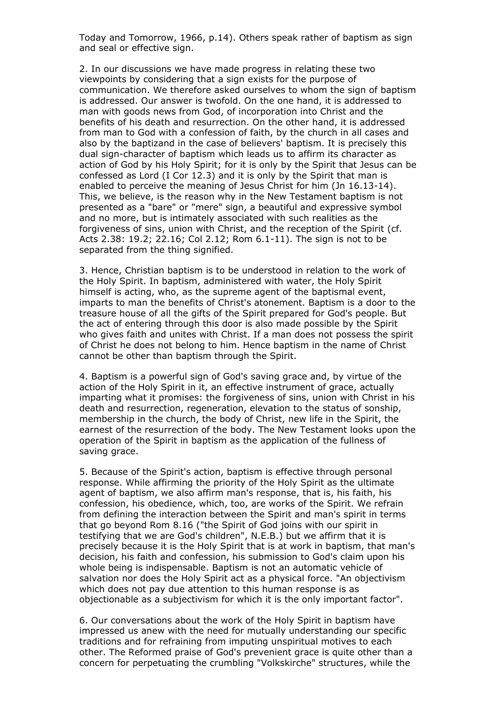Today and Tomorrow, 1966, p.14). Others speak rather of baptism as sign and seal or effective sign.

2. In our discussions we have made progress in relating these two viewpoints by considering that a sign exists for the purpose of communication. We therefore asked ourselves to whom the sign of baptism is addressed. Our answer is twofold. On the one hand, it is addressed to man with goods news from God, of incorporation into Christ and the benefits of his death and resurrection. On the other hand, it is addressed from man to God with a confession of faith, by the church in all cases and also by the baptizand in the case of believers' baptism. It is precisely this dual sign-character of baptism which leads us to affirm its character as action of God by his Holy Spirit; for it is only by the Spirit that Jesus can be confessed as Lord (I Cor 12.3) and it is only by the Spirit that man is enabled to perceive the meaning of Jesus Christ for him (Jn 16.13-14). This, we believe, is the reason why in the New Testament baptism is not presented as a "bare" or "mere" sign, a beautiful and expressive symbol and no more, but is intimately associated with such realities as the forgiveness of sins, union with Christ, and the reception of the Spirit (cf. Acts 2.38: 19.2; 22.16; Col 2.12; Rom 6.1-11). The sign is not to be separated from the thing signified.

3. Hence, Christian baptism is to be understood in relation to the work of the Holy Spirit. In baptism, administered with water, the Holy Spirit himself is acting, who, as the supreme agent of the baptismal event, imparts to man the benefits of Christ's atonement. Baptism is a door to the treasure house of all the gifts of the Spirit prepared for God's people. But the act of entering through this door is also made possible by the Spirit who gives faith and unites with Christ. If a man does not possess the spirit of Christ he does not belong to him. Hence baptism in the name of Christ cannot be other than baptism through the Spirit.

4. Baptism is a powerful sign of God's saving grace and, by virtue of the action of the Holy Spirit in it, an effective instrument of grace, actually imparting what it promises: the forgiveness of sins, union with Christ in his death and resurrection, regeneration, elevation to the status of sonship, membership in the church, the body of Christ, new life in the Spirit, the earnest of the resurrection of the body. The New Testament looks upon the operation of the Spirit in baptism as the application of the fullness of saving grace.

5. Because of the Spirit's action, baptism is effective through personal response. While affirming the priority of the Holy Spirit as the ultimate agent of baptism, we also affirm man's response, that is, his faith, his confession, his obedience, which, too, are works of the Spirit. We refrain from defining the interaction between the Spirit and man's spirit in terms that go beyond Rom 8.16 ("the Spirit of God joins with our spirit in testifying that we are God's children", N.E.B.) but we affirm that it is precisely because it is the Holy Spirit that is at work in baptism, that man's decision, his faith and confession, his submission to God's claim upon his whole being is indispensable. Baptism is not an automatic vehicle of salvation nor does the Holy Spirit act as a physical force. "An objectivism which does not pay due attention to this human response is as objectionable as a subjectivism for which it is the only important factor".

6. Our conversations about the work of the Holy Spirit in baptism have impressed us anew with the need for mutually understanding our specific traditions and for refraining from imputing unspiritual motives to each other. The Reformed praise of God's prevenient grace is quite other than a concern for perpetuating the crumbling "Volkskirche" structures, while the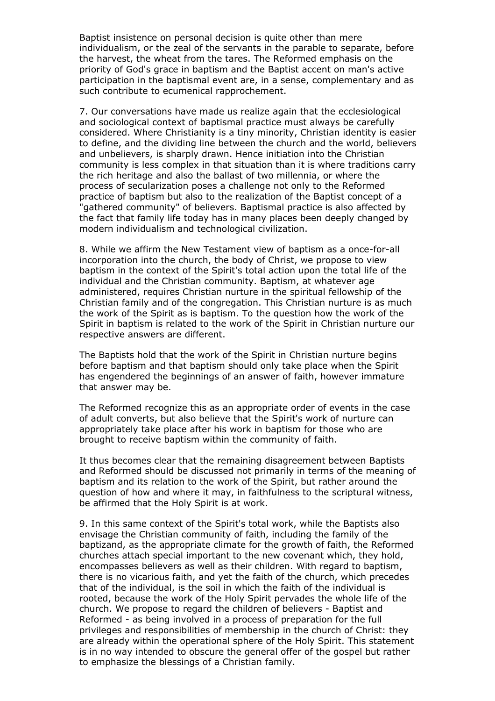Baptist insistence on personal decision is quite other than mere individualism, or the zeal of the servants in the parable to separate, before the harvest, the wheat from the tares. The Reformed emphasis on the priority of God's grace in baptism and the Baptist accent on man's active participation in the baptismal event are, in a sense, complementary and as such contribute to ecumenical rapprochement.

7. Our conversations have made us realize again that the ecclesiological and sociological context of baptismal practice must always be carefully considered. Where Christianity is a tiny minority, Christian identity is easier to define, and the dividing line between the church and the world, believers and unbelievers, is sharply drawn. Hence initiation into the Christian community is less complex in that situation than it is where traditions carry the rich heritage and also the ballast of two millennia, or where the process of secularization poses a challenge not only to the Reformed practice of baptism but also to the realization of the Baptist concept of a "gathered community" of believers. Baptismal practice is also affected by the fact that family life today has in many places been deeply changed by modern individualism and technological civilization.

8. While we affirm the New Testament view of baptism as a once-for-all incorporation into the church, the body of Christ, we propose to view baptism in the context of the Spirit's total action upon the total life of the individual and the Christian community. Baptism, at whatever age administered, requires Christian nurture in the spiritual fellowship of the Christian family and of the congregation. This Christian nurture is as much the work of the Spirit as is baptism. To the question how the work of the Spirit in baptism is related to the work of the Spirit in Christian nurture our respective answers are different.

The Baptists hold that the work of the Spirit in Christian nurture begins before baptism and that baptism should only take place when the Spirit has engendered the beginnings of an answer of faith, however immature that answer may be.

The Reformed recognize this as an appropriate order of events in the case of adult converts, but also believe that the Spirit's work of nurture can appropriately take place after his work in baptism for those who are brought to receive baptism within the community of faith.

It thus becomes clear that the remaining disagreement between Baptists and Reformed should be discussed not primarily in terms of the meaning of baptism and its relation to the work of the Spirit, but rather around the question of how and where it may, in faithfulness to the scriptural witness, be affirmed that the Holy Spirit is at work.

9. In this same context of the Spirit's total work, while the Baptists also envisage the Christian community of faith, including the family of the baptizand, as the appropriate climate for the growth of faith, the Reformed churches attach special important to the new covenant which, they hold, encompasses believers as well as their children. With regard to baptism, there is no vicarious faith, and yet the faith of the church, which precedes that of the individual, is the soil in which the faith of the individual is rooted, because the work of the Holy Spirit pervades the whole life of the church. We propose to regard the children of believers - Baptist and Reformed - as being involved in a process of preparation for the full privileges and responsibilities of membership in the church of Christ: they are already within the operational sphere of the Holy Spirit. This statement is in no way intended to obscure the general offer of the gospel but rather to emphasize the blessings of a Christian family.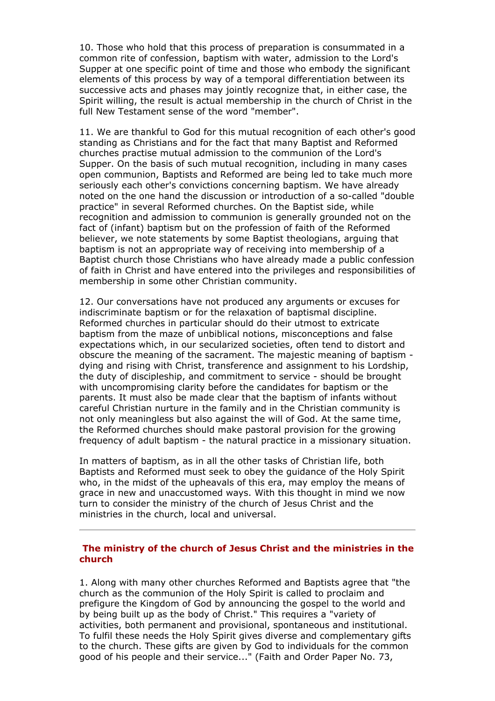10. Those who hold that this process of preparation is consummated in a common rite of confession, baptism with water, admission to the Lord's Supper at one specific point of time and those who embody the significant elements of this process by way of a temporal differentiation between its successive acts and phases may jointly recognize that, in either case, the Spirit willing, the result is actual membership in the church of Christ in the full New Testament sense of the word "member".

11. We are thankful to God for this mutual recognition of each other's good standing as Christians and for the fact that many Baptist and Reformed churches practise mutual admission to the communion of the Lord's Supper. On the basis of such mutual recognition, including in many cases open communion, Baptists and Reformed are being led to take much more seriously each other's convictions concerning baptism. We have already noted on the one hand the discussion or introduction of a so-called "double practice" in several Reformed churches. On the Baptist side, while recognition and admission to communion is generally grounded not on the fact of (infant) baptism but on the profession of faith of the Reformed believer, we note statements by some Baptist theologians, arguing that baptism is not an appropriate way of receiving into membership of a Baptist church those Christians who have already made a public confession of faith in Christ and have entered into the privileges and responsibilities of membership in some other Christian community.

12. Our conversations have not produced any arguments or excuses for indiscriminate baptism or for the relaxation of baptismal discipline. Reformed churches in particular should do their utmost to extricate baptism from the maze of unbiblical notions, misconceptions and false expectations which, in our secularized societies, often tend to distort and obscure the meaning of the sacrament. The majestic meaning of baptism dying and rising with Christ, transference and assignment to his Lordship, the duty of discipleship, and commitment to service - should be brought with uncompromising clarity before the candidates for baptism or the parents. It must also be made clear that the baptism of infants without careful Christian nurture in the family and in the Christian community is not only meaningless but also against the will of God. At the same time, the Reformed churches should make pastoral provision for the growing frequency of adult baptism - the natural practice in a missionary situation.

In matters of baptism, as in all the other tasks of Christian life, both Baptists and Reformed must seek to obey the guidance of the Holy Spirit who, in the midst of the upheavals of this era, may employ the means of grace in new and unaccustomed ways. With this thought in mind we now turn to consider the ministry of the church of Jesus Christ and the ministries in the church, local and universal.

#### **The ministry of the church of Jesus Christ and the ministries in the church**

1. Along with many other churches Reformed and Baptists agree that "the church as the communion of the Holy Spirit is called to proclaim and prefigure the Kingdom of God by announcing the gospel to the world and by being built up as the body of Christ." This requires a "variety of activities, both permanent and provisional, spontaneous and institutional. To fulfil these needs the Holy Spirit gives diverse and complementary gifts to the church. These gifts are given by God to individuals for the common good of his people and their service..." (Faith and Order Paper No. 73,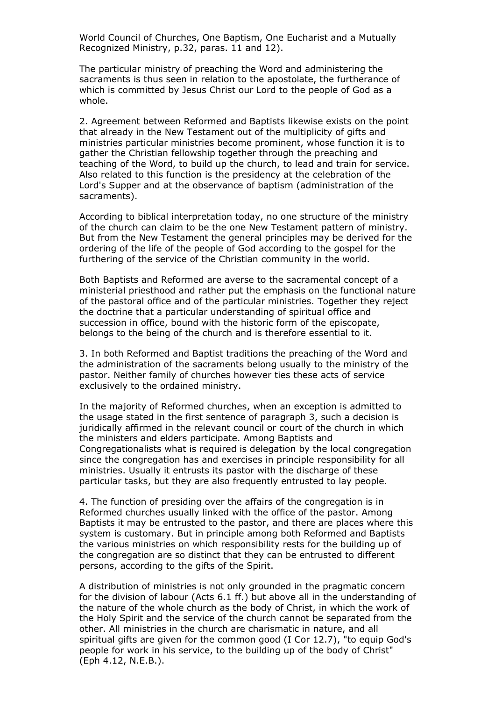World Council of Churches, One Baptism, One Eucharist and a Mutually Recognized Ministry, p.32, paras. 11 and 12).

The particular ministry of preaching the Word and administering the sacraments is thus seen in relation to the apostolate, the furtherance of which is committed by Jesus Christ our Lord to the people of God as a whole.

2. Agreement between Reformed and Baptists likewise exists on the point that already in the New Testament out of the multiplicity of gifts and ministries particular ministries become prominent, whose function it is to gather the Christian fellowship together through the preaching and teaching of the Word, to build up the church, to lead and train for service. Also related to this function is the presidency at the celebration of the Lord's Supper and at the observance of baptism (administration of the sacraments).

According to biblical interpretation today, no one structure of the ministry of the church can claim to be the one New Testament pattern of ministry. But from the New Testament the general principles may be derived for the ordering of the life of the people of God according to the gospel for the furthering of the service of the Christian community in the world.

Both Baptists and Reformed are averse to the sacramental concept of a ministerial priesthood and rather put the emphasis on the functional nature of the pastoral office and of the particular ministries. Together they reject the doctrine that a particular understanding of spiritual office and succession in office, bound with the historic form of the episcopate, belongs to the being of the church and is therefore essential to it.

3. In both Reformed and Baptist traditions the preaching of the Word and the administration of the sacraments belong usually to the ministry of the pastor. Neither family of churches however ties these acts of service exclusively to the ordained ministry.

In the majority of Reformed churches, when an exception is admitted to the usage stated in the first sentence of paragraph 3, such a decision is juridically affirmed in the relevant council or court of the church in which the ministers and elders participate. Among Baptists and Congregationalists what is required is delegation by the local congregation since the congregation has and exercises in principle responsibility for all ministries. Usually it entrusts its pastor with the discharge of these particular tasks, but they are also frequently entrusted to lay people.

4. The function of presiding over the affairs of the congregation is in Reformed churches usually linked with the office of the pastor. Among Baptists it may be entrusted to the pastor, and there are places where this system is customary. But in principle among both Reformed and Baptists the various ministries on which responsibility rests for the building up of the congregation are so distinct that they can be entrusted to different persons, according to the gifts of the Spirit.

A distribution of ministries is not only grounded in the pragmatic concern for the division of labour (Acts 6.1 ff.) but above all in the understanding of the nature of the whole church as the body of Christ, in which the work of the Holy Spirit and the service of the church cannot be separated from the other. All ministries in the church are charismatic in nature, and all spiritual gifts are given for the common good (I Cor 12.7), "to equip God's people for work in his service, to the building up of the body of Christ" (Eph 4.12, N.E.B.).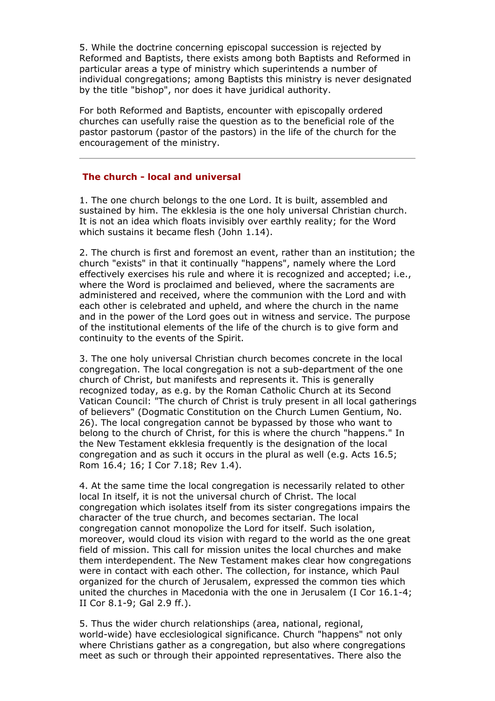5. While the doctrine concerning episcopal succession is rejected by Reformed and Baptists, there exists among both Baptists and Reformed in particular areas a type of ministry which superintends a number of individual congregations; among Baptists this ministry is never designated by the title "bishop", nor does it have juridical authority.

For both Reformed and Baptists, encounter with episcopally ordered churches can usefully raise the question as to the beneficial role of the pastor pastorum (pastor of the pastors) in the life of the church for the encouragement of the ministry.

#### **The church - local and universal**

1. The one church belongs to the one Lord. It is built, assembled and sustained by him. The ekklesia is the one holy universal Christian church. It is not an idea which floats invisibly over earthly reality; for the Word which sustains it became flesh (John 1.14).

2. The church is first and foremost an event, rather than an institution; the church "exists" in that it continually "happens", namely where the Lord effectively exercises his rule and where it is recognized and accepted; i.e., where the Word is proclaimed and believed, where the sacraments are administered and received, where the communion with the Lord and with each other is celebrated and upheld, and where the church in the name and in the power of the Lord goes out in witness and service. The purpose of the institutional elements of the life of the church is to give form and continuity to the events of the Spirit.

3. The one holy universal Christian church becomes concrete in the local congregation. The local congregation is not a sub-department of the one church of Christ, but manifests and represents it. This is generally recognized today, as e.g. by the Roman Catholic Church at its Second Vatican Council: "The church of Christ is truly present in all local gatherings of believers" (Dogmatic Constitution on the Church Lumen Gentium, No. 26). The local congregation cannot be bypassed by those who want to belong to the church of Christ, for this is where the church "happens." In the New Testament ekklesia frequently is the designation of the local congregation and as such it occurs in the plural as well (e.g. Acts 16.5; Rom 16.4; 16; I Cor 7.18; Rev 1.4).

4. At the same time the local congregation is necessarily related to other local In itself, it is not the universal church of Christ. The local congregation which isolates itself from its sister congregations impairs the character of the true church, and becomes sectarian. The local congregation cannot monopolize the Lord for itself. Such isolation, moreover, would cloud its vision with regard to the world as the one great field of mission. This call for mission unites the local churches and make them interdependent. The New Testament makes clear how congregations were in contact with each other. The collection, for instance, which Paul organized for the church of Jerusalem, expressed the common ties which united the churches in Macedonia with the one in Jerusalem (I Cor 16.1-4; II Cor 8.1-9; Gal 2.9 ff.).

5. Thus the wider church relationships (area, national, regional, world-wide) have ecclesiological significance. Church "happens" not only where Christians gather as a congregation, but also where congregations meet as such or through their appointed representatives. There also the